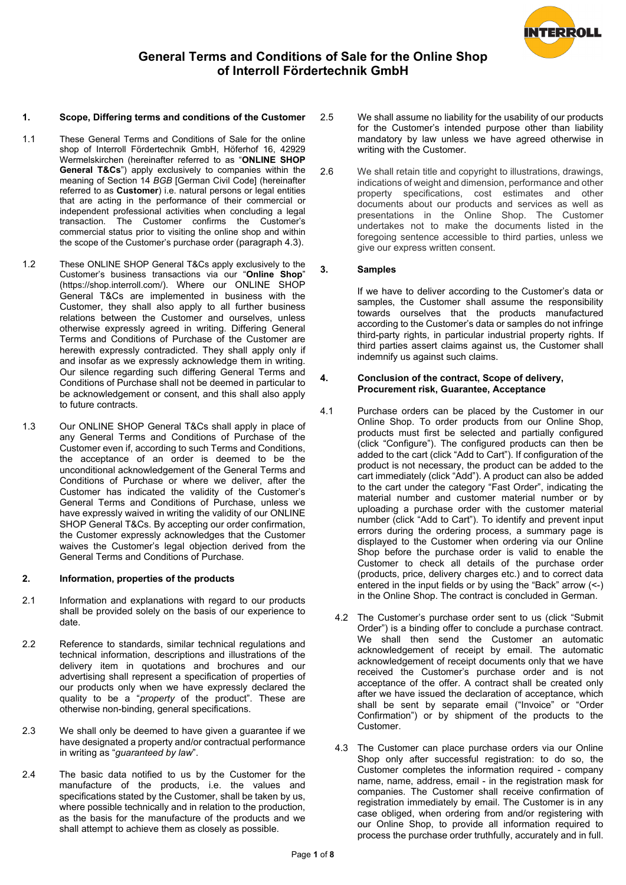

#### **1. Scope, Differing terms and conditions of the Customer**

- 1.1 These General Terms and Conditions of Sale for the online shop of Interroll Fördertechnik GmbH, Höferhof 16, 42929 Wermelskirchen (hereinafter referred to as "**ONLINE SHOP General T&Cs**") apply exclusively to companies within the meaning of Section 14 *BGB* [German Civil Code] (hereinafter referred to as **Customer**) i.e. natural persons or legal entities that are acting in the performance of their commercial or independent professional activities when concluding a legal transaction. The Customer confirms the Customer's commercial status prior to visiting the online shop and within the scope of the Customer's purchase order (paragraph 4.3).
- 1.2 These ONLINE SHOP General T&Cs apply exclusively to the Customer's business transactions via our "**Online Shop**" (https://shop.interroll.com/). Where our ONLINE SHOP General T&Cs are implemented in business with the Customer, they shall also apply to all further business relations between the Customer and ourselves, unless otherwise expressly agreed in writing. Differing General Terms and Conditions of Purchase of the Customer are herewith expressly contradicted. They shall apply only if and insofar as we expressly acknowledge them in writing. Our silence regarding such differing General Terms and Conditions of Purchase shall not be deemed in particular to be acknowledgement or consent, and this shall also apply to future contracts.
- 1.3 Our ONLINE SHOP General T&Cs shall apply in place of any General Terms and Conditions of Purchase of the Customer even if, according to such Terms and Conditions, the acceptance of an order is deemed to be the unconditional acknowledgement of the General Terms and Conditions of Purchase or where we deliver, after the Customer has indicated the validity of the Customer's General Terms and Conditions of Purchase, unless we have expressly waived in writing the validity of our ONLINE SHOP General T&Cs. By accepting our order confirmation, the Customer expressly acknowledges that the Customer waives the Customer's legal objection derived from the General Terms and Conditions of Purchase.

#### **2. Information, properties of the products**

- 2.1 Information and explanations with regard to our products shall be provided solely on the basis of our experience to date.
- 2.2 Reference to standards, similar technical regulations and technical information, descriptions and illustrations of the delivery item in quotations and brochures and our advertising shall represent a specification of properties of our products only when we have expressly declared the quality to be a "*property* of the product". These are otherwise non-binding, general specifications.
- 2.3 We shall only be deemed to have given a guarantee if we have designated a property and/or contractual performance in writing as "*guaranteed by law*".
- 2.4 The basic data notified to us by the Customer for the manufacture of the products, i.e. the values and specifications stated by the Customer, shall be taken by us, where possible technically and in relation to the production, as the basis for the manufacture of the products and we shall attempt to achieve them as closely as possible.
- 2.5 We shall assume no liability for the usability of our products for the Customer's intended purpose other than liability mandatory by law unless we have agreed otherwise in writing with the Customer.
- 2.6 We shall retain title and copyright to illustrations, drawings, indications of weight and dimension, performance and other property specifications, cost estimates and other documents about our products and services as well as presentations in the Online Shop. The Customer undertakes not to make the documents listed in the foregoing sentence accessible to third parties, unless we give our express written consent.

### **3. Samples**

If we have to deliver according to the Customer's data or samples, the Customer shall assume the responsibility towards ourselves that the products manufactured according to the Customer's data or samples do not infringe third-party rights, in particular industrial property rights. If third parties assert claims against us, the Customer shall indemnify us against such claims.

### **4. Conclusion of the contract, Scope of delivery, Procurement risk, Guarantee, Acceptance**

- 4.1 Purchase orders can be placed by the Customer in our Online Shop. To order products from our Online Shop, products must first be selected and partially configured (click "Configure"). The configured products can then be added to the cart (click "Add to Cart"). If configuration of the product is not necessary, the product can be added to the cart immediately (click "Add"). A product can also be added to the cart under the category "Fast Order", indicating the material number and customer material number or by uploading a purchase order with the customer material number (click "Add to Cart"). To identify and prevent input errors during the ordering process, a summary page is displayed to the Customer when ordering via our Online Shop before the purchase order is valid to enable the Customer to check all details of the purchase order (products, price, delivery charges etc.) and to correct data entered in the input fields or by using the "Back" arrow (<-) in the Online Shop. The contract is concluded in German.
	- 4.2 The Customer's purchase order sent to us (click "Submit Order") is a binding offer to conclude a purchase contract. We shall then send the Customer an automatic acknowledgement of receipt by email. The automatic acknowledgement of receipt documents only that we have received the Customer's purchase order and is not acceptance of the offer. A contract shall be created only after we have issued the declaration of acceptance, which shall be sent by separate email ("Invoice" or "Order Confirmation") or by shipment of the products to the Customer.
	- 4.3 The Customer can place purchase orders via our Online Shop only after successful registration: to do so, the Customer completes the information required - company name, name, address, email - in the registration mask for companies. The Customer shall receive confirmation of registration immediately by email. The Customer is in any case obliged, when ordering from and/or registering with our Online Shop, to provide all information required to process the purchase order truthfully, accurately and in full.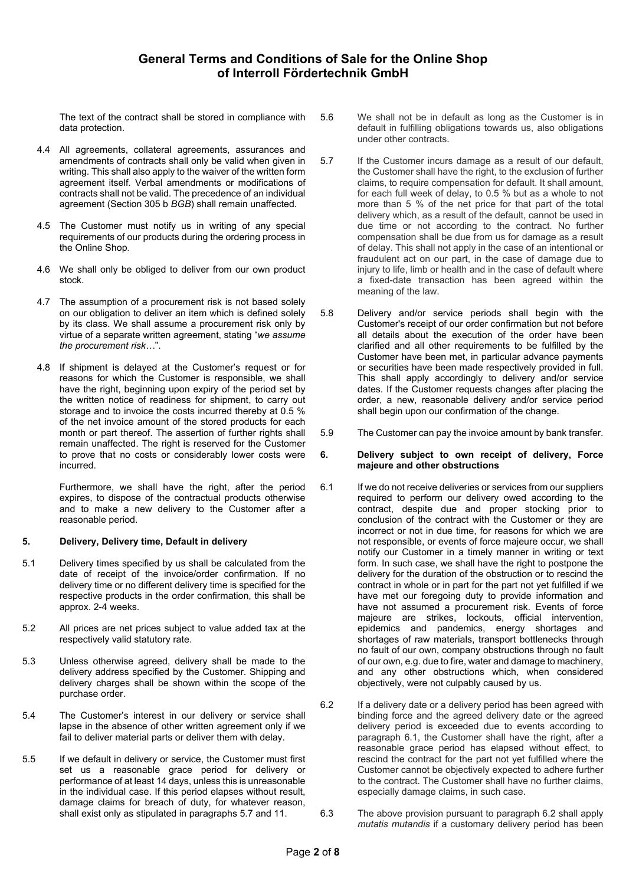The text of the contract shall be stored in compliance with data protection.

- 4.4 All agreements, collateral agreements, assurances and amendments of contracts shall only be valid when given in writing. This shall also apply to the waiver of the written form agreement itself. Verbal amendments or modifications of contracts shall not be valid. The precedence of an individual agreement (Section 305 b *BGB*) shall remain unaffected.
- 4.5 The Customer must notify us in writing of any special requirements of our products during the ordering process in the Online Shop.
- 4.6 We shall only be obliged to deliver from our own product stock.
- 4.7 The assumption of a procurement risk is not based solely on our obligation to deliver an item which is defined solely by its class. We shall assume a procurement risk only by virtue of a separate written agreement, stating "*we assume the procurement risk…*".
- 4.8 If shipment is delayed at the Customer's request or for reasons for which the Customer is responsible, we shall have the right, beginning upon expiry of the period set by the written notice of readiness for shipment, to carry out storage and to invoice the costs incurred thereby at 0.5 % of the net invoice amount of the stored products for each month or part thereof. The assertion of further rights shall remain unaffected. The right is reserved for the Customer to prove that no costs or considerably lower costs were incurred.

Furthermore, we shall have the right, after the period expires, to dispose of the contractual products otherwise and to make a new delivery to the Customer after a reasonable period.

## **5. Delivery, Delivery time, Default in delivery**

- 5.1 Delivery times specified by us shall be calculated from the date of receipt of the invoice/order confirmation. If no delivery time or no different delivery time is specified for the respective products in the order confirmation, this shall be approx. 2-4 weeks.
- 5.2 All prices are net prices subject to value added tax at the respectively valid statutory rate.
- 5.3 Unless otherwise agreed, delivery shall be made to the delivery address specified by the Customer. Shipping and delivery charges shall be shown within the scope of the purchase order.
- 5.4 The Customer's interest in our delivery or service shall lapse in the absence of other written agreement only if we fail to deliver material parts or deliver them with delay.
- 5.5 If we default in delivery or service, the Customer must first set us a reasonable grace period for delivery or performance of at least 14 days, unless this is unreasonable in the individual case. If this period elapses without result, damage claims for breach of duty, for whatever reason, shall exist only as stipulated in paragraphs 5.7 and 11.
- 5.6 We shall not be in default as long as the Customer is in default in fulfilling obligations towards us, also obligations under other contracts.
- 5.7 If the Customer incurs damage as a result of our default, the Customer shall have the right, to the exclusion of further claims, to require compensation for default. It shall amount, for each full week of delay, to 0.5 % but as a whole to not more than 5 % of the net price for that part of the total delivery which, as a result of the default, cannot be used in due time or not according to the contract. No further compensation shall be due from us for damage as a result of delay. This shall not apply in the case of an intentional or fraudulent act on our part, in the case of damage due to injury to life, limb or health and in the case of default where a fixed-date transaction has been agreed within the meaning of the law.
- 5.8 Delivery and/or service periods shall begin with the Customer's receipt of our order confirmation but not before all details about the execution of the order have been clarified and all other requirements to be fulfilled by the Customer have been met, in particular advance payments or securities have been made respectively provided in full. This shall apply accordingly to delivery and/or service dates. If the Customer requests changes after placing the order, a new, reasonable delivery and/or service period shall begin upon our confirmation of the change.
- 5.9 The Customer can pay the invoice amount by bank transfer.

#### **6. Delivery subject to own receipt of delivery, Force majeure and other obstructions**

- 6.1 If we do not receive deliveries or services from our suppliers required to perform our delivery owed according to the contract, despite due and proper stocking prior to conclusion of the contract with the Customer or they are incorrect or not in due time, for reasons for which we are not responsible, or events of force majeure occur, we shall notify our Customer in a timely manner in writing or text form. In such case, we shall have the right to postpone the delivery for the duration of the obstruction or to rescind the contract in whole or in part for the part not yet fulfilled if we have met our foregoing duty to provide information and have not assumed a procurement risk. Events of force majeure are strikes, lockouts, official intervention, epidemics and pandemics, energy shortages and shortages of raw materials, transport bottlenecks through no fault of our own, company obstructions through no fault of our own, e.g. due to fire, water and damage to machinery, and any other obstructions which, when considered objectively, were not culpably caused by us.
- 6.2 If a delivery date or a delivery period has been agreed with binding force and the agreed delivery date or the agreed delivery period is exceeded due to events according to paragraph 6.1, the Customer shall have the right, after a reasonable grace period has elapsed without effect, to rescind the contract for the part not yet fulfilled where the Customer cannot be objectively expected to adhere further to the contract. The Customer shall have no further claims, especially damage claims, in such case.
- 6.3 The above provision pursuant to paragraph 6.2 shall apply *mutatis mutandis* if a customary delivery period has been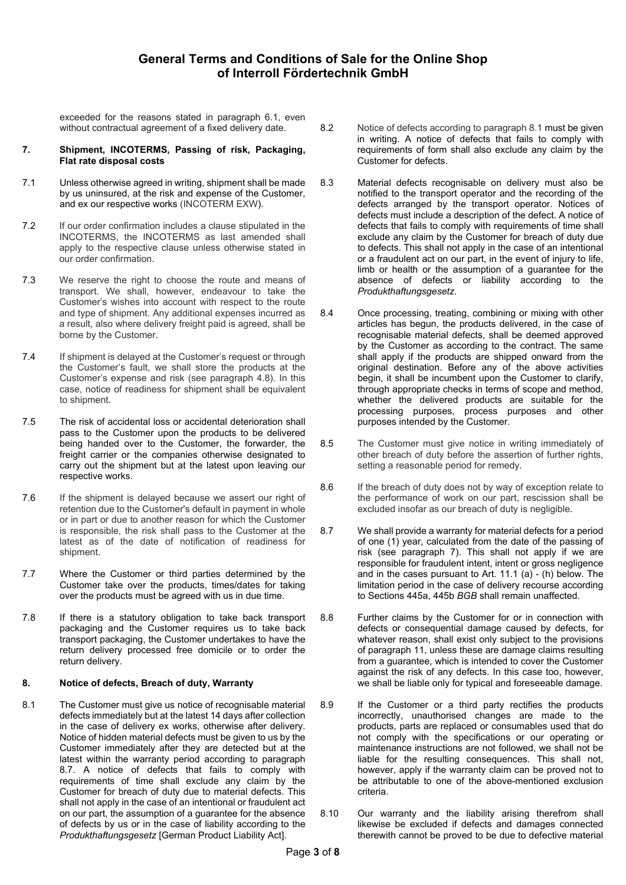exceeded for the reasons stated in paragraph 6.1, even without contractual agreement of a fixed delivery date.

- **7. Shipment, INCOTERMS, Passing of risk, Packaging, Flat rate disposal costs**
- 7.1 Unless otherwise agreed in writing, shipment shall be made by us uninsured, at the risk and expense of the Customer, and ex our respective works (INCOTERM EXW).
- 7.2 If our order confirmation includes a clause stipulated in the INCOTERMS, the INCOTERMS as last amended shall apply to the respective clause unless otherwise stated in our order confirmation.
- 7.3 We reserve the right to choose the route and means of transport. We shall, however, endeavour to take the Customer's wishes into account with respect to the route and type of shipment. Any additional expenses incurred as a result, also where delivery freight paid is agreed, shall be borne by the Customer.
- 7.4 If shipment is delayed at the Customer's request or through the Customer's fault, we shall store the products at the Customer's expense and risk (see paragraph 4.8). In this case, notice of readiness for shipment shall be equivalent to shipment.
- 7.5 The risk of accidental loss or accidental deterioration shall pass to the Customer upon the products to be delivered being handed over to the Customer, the forwarder, the freight carrier or the companies otherwise designated to carry out the shipment but at the latest upon leaving our respective works.
- 7.6 If the shipment is delayed because we assert our right of retention due to the Customer's default in payment in whole or in part or due to another reason for which the Customer is responsible, the risk shall pass to the Customer at the latest as of the date of notification of readiness for shipment.
- 7.7 Where the Customer or third parties determined by the Customer take over the products, times/dates for taking over the products must be agreed with us in due time.
- 7.8 If there is a statutory obligation to take back transport packaging and the Customer requires us to take back transport packaging, the Customer undertakes to have the return delivery processed free domicile or to order the return delivery.

## **8. Notice of defects, Breach of duty, Warranty**

8.1 The Customer must give us notice of recognisable material defects immediately but at the latest 14 days after collection in the case of delivery ex works, otherwise after delivery. Notice of hidden material defects must be given to us by the Customer immediately after they are detected but at the latest within the warranty period according to paragraph 8.7. A notice of defects that fails to comply with requirements of time shall exclude any claim by the Customer for breach of duty due to material defects. This shall not apply in the case of an intentional or fraudulent act on our part, the assumption of a guarantee for the absence of defects by us or in the case of liability according to the *Produkthaftungsgesetz* [German Product Liability Act].

- 8.2 Notice of defects according to paragraph 8.1 must be given in writing. A notice of defects that fails to comply with requirements of form shall also exclude any claim by the Customer for defects.
- 8.3 Material defects recognisable on delivery must also be notified to the transport operator and the recording of the defects arranged by the transport operator. Notices of defects must include a description of the defect. A notice of defects that fails to comply with requirements of time shall exclude any claim by the Customer for breach of duty due to defects. This shall not apply in the case of an intentional or a fraudulent act on our part, in the event of injury to life, limb or health or the assumption of a guarantee for the absence of defects or liability according to the *Produkthaftungsgesetz*.
- 8.4 Once processing, treating, combining or mixing with other articles has begun, the products delivered, in the case of recognisable material defects, shall be deemed approved by the Customer as according to the contract. The same shall apply if the products are shipped onward from the original destination. Before any of the above activities begin, it shall be incumbent upon the Customer to clarify, through appropriate checks in terms of scope and method, whether the delivered products are suitable for the processing purposes, process purposes and other purposes intended by the Customer.
- 8.5 The Customer must give notice in writing immediately of other breach of duty before the assertion of further rights, setting a reasonable period for remedy.
- 8.6 If the breach of duty does not by way of exception relate to the performance of work on our part, rescission shall be excluded insofar as our breach of duty is negligible.
- 8.7 We shall provide a warranty for material defects for a period of one (1) year, calculated from the date of the passing of risk (see paragraph 7). This shall not apply if we are responsible for fraudulent intent, intent or gross negligence and in the cases pursuant to Art. 11.1 (a) - (h) below. The limitation period in the case of delivery recourse according to Sections 445a, 445b *BGB* shall remain unaffected.
- 8.8 Further claims by the Customer for or in connection with defects or consequential damage caused by defects, for whatever reason, shall exist only subject to the provisions of paragraph 11, unless these are damage claims resulting from a guarantee, which is intended to cover the Customer against the risk of any defects. In this case too, however, we shall be liable only for typical and foreseeable damage.
- 8.9 If the Customer or a third party rectifies the products incorrectly, unauthorised changes are made to the products, parts are replaced or consumables used that do not comply with the specifications or our operating or maintenance instructions are not followed, we shall not be liable for the resulting consequences. This shall not, however, apply if the warranty claim can be proved not to be attributable to one of the above-mentioned exclusion criteria.
- 8.10 Our warranty and the liability arising therefrom shall likewise be excluded if defects and damages connected therewith cannot be proved to be due to defective material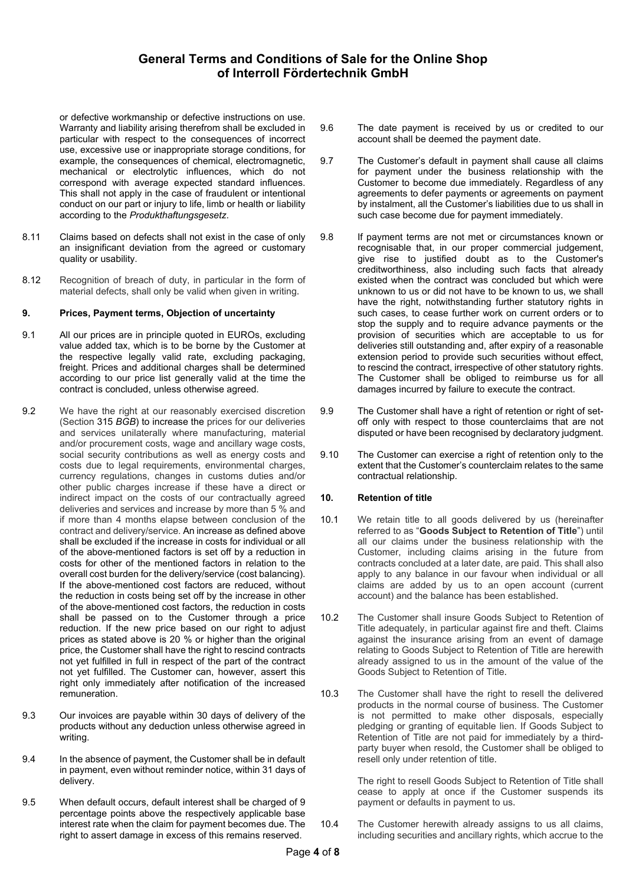or defective workmanship or defective instructions on use. Warranty and liability arising therefrom shall be excluded in particular with respect to the consequences of incorrect use, excessive use or inappropriate storage conditions, for example, the consequences of chemical, electromagnetic, mechanical or electrolytic influences, which do not correspond with average expected standard influences. This shall not apply in the case of fraudulent or intentional conduct on our part or injury to life, limb or health or liability according to the *Produkthaftungsgesetz*.

- 8.11 Claims based on defects shall not exist in the case of only an insignificant deviation from the agreed or customary quality or usability.
- 8.12 Recognition of breach of duty, in particular in the form of material defects, shall only be valid when given in writing.

## **9. Prices, Payment terms, Objection of uncertainty**

- 9.1 All our prices are in principle quoted in EUROs, excluding value added tax, which is to be borne by the Customer at the respective legally valid rate, excluding packaging, freight. Prices and additional charges shall be determined according to our price list generally valid at the time the contract is concluded, unless otherwise agreed.
- 9.2 We have the right at our reasonably exercised discretion (Section 315 *BGB*) to increase the prices for our deliveries and services unilaterally where manufacturing, material and/or procurement costs, wage and ancillary wage costs, social security contributions as well as energy costs and costs due to legal requirements, environmental charges, currency regulations, changes in customs duties and/or other public charges increase if these have a direct or indirect impact on the costs of our contractually agreed deliveries and services and increase by more than 5 % and if more than 4 months elapse between conclusion of the contract and delivery/service. An increase as defined above shall be excluded if the increase in costs for individual or all of the above-mentioned factors is set off by a reduction in costs for other of the mentioned factors in relation to the overall cost burden for the delivery/service (cost balancing). If the above-mentioned cost factors are reduced, without the reduction in costs being set off by the increase in other of the above-mentioned cost factors, the reduction in costs shall be passed on to the Customer through a price reduction. If the new price based on our right to adjust prices as stated above is 20 % or higher than the original price, the Customer shall have the right to rescind contracts not yet fulfilled in full in respect of the part of the contract not yet fulfilled. The Customer can, however, assert this right only immediately after notification of the increased remuneration.
- 9.3 Our invoices are payable within 30 days of delivery of the products without any deduction unless otherwise agreed in writing.
- 9.4 In the absence of payment, the Customer shall be in default in payment, even without reminder notice, within 31 days of delivery.
- 9.5 When default occurs, default interest shall be charged of 9 percentage points above the respectively applicable base interest rate when the claim for payment becomes due. The right to assert damage in excess of this remains reserved.
- 9.6 The date payment is received by us or credited to our account shall be deemed the payment date.
- 9.7 The Customer's default in payment shall cause all claims for payment under the business relationship with the Customer to become due immediately. Regardless of any agreements to defer payments or agreements on payment by instalment, all the Customer's liabilities due to us shall in such case become due for payment immediately.
- 9.8 If payment terms are not met or circumstances known or recognisable that, in our proper commercial judgement, give rise to justified doubt as to the Customer's creditworthiness, also including such facts that already existed when the contract was concluded but which were unknown to us or did not have to be known to us, we shall have the right, notwithstanding further statutory rights in such cases, to cease further work on current orders or to stop the supply and to require advance payments or the provision of securities which are acceptable to us for deliveries still outstanding and, after expiry of a reasonable extension period to provide such securities without effect, to rescind the contract, irrespective of other statutory rights. The Customer shall be obliged to reimburse us for all damages incurred by failure to execute the contract.
- 9.9 The Customer shall have a right of retention or right of setoff only with respect to those counterclaims that are not disputed or have been recognised by declaratory judgment.
- 9.10 The Customer can exercise a right of retention only to the extent that the Customer's counterclaim relates to the same contractual relationship.

## **10. Retention of title**

- 10.1 We retain title to all goods delivered by us (hereinafter referred to as "**Goods Subject to Retention of Title**") until all our claims under the business relationship with the Customer, including claims arising in the future from contracts concluded at a later date, are paid. This shall also apply to any balance in our favour when individual or all claims are added by us to an open account (current account) and the balance has been established.
- 10.2 The Customer shall insure Goods Subject to Retention of Title adequately, in particular against fire and theft. Claims against the insurance arising from an event of damage relating to Goods Subject to Retention of Title are herewith already assigned to us in the amount of the value of the Goods Subject to Retention of Title.
- 10.3 The Customer shall have the right to resell the delivered products in the normal course of business. The Customer is not permitted to make other disposals, especially pledging or granting of equitable lien. If Goods Subject to Retention of Title are not paid for immediately by a thirdparty buyer when resold, the Customer shall be obliged to resell only under retention of title.

The right to resell Goods Subject to Retention of Title shall cease to apply at once if the Customer suspends its payment or defaults in payment to us.

10.4 The Customer herewith already assigns to us all claims, including securities and ancillary rights, which accrue to the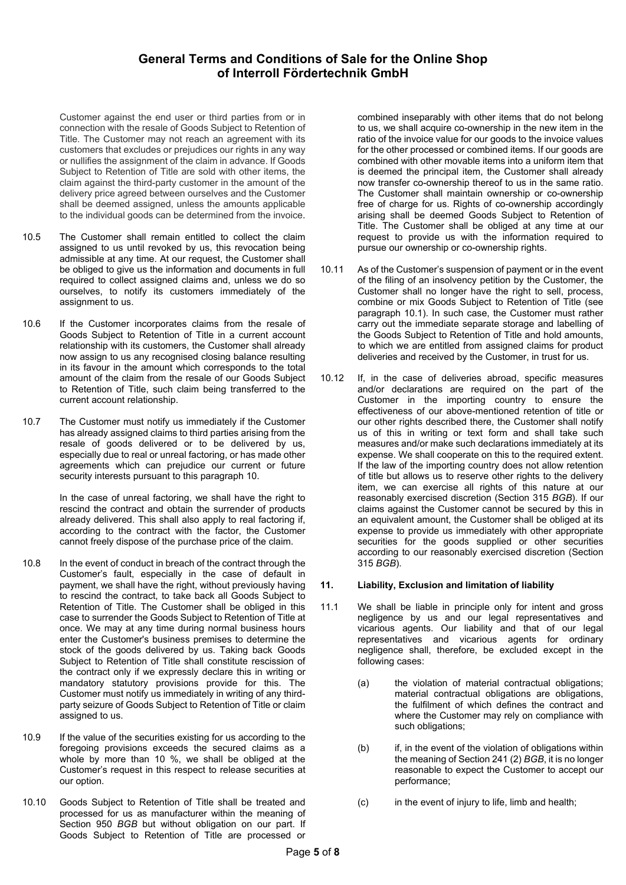Customer against the end user or third parties from or in connection with the resale of Goods Subject to Retention of Title. The Customer may not reach an agreement with its customers that excludes or prejudices our rights in any way or nullifies the assignment of the claim in advance. If Goods Subject to Retention of Title are sold with other items, the claim against the third-party customer in the amount of the delivery price agreed between ourselves and the Customer shall be deemed assigned, unless the amounts applicable to the individual goods can be determined from the invoice.

- 10.5 The Customer shall remain entitled to collect the claim assigned to us until revoked by us, this revocation being admissible at any time. At our request, the Customer shall be obliged to give us the information and documents in full required to collect assigned claims and, unless we do so ourselves, to notify its customers immediately of the assignment to us.
- 10.6 If the Customer incorporates claims from the resale of Goods Subject to Retention of Title in a current account relationship with its customers, the Customer shall already now assign to us any recognised closing balance resulting in its favour in the amount which corresponds to the total amount of the claim from the resale of our Goods Subject to Retention of Title, such claim being transferred to the current account relationship.
- 10.7 The Customer must notify us immediately if the Customer has already assigned claims to third parties arising from the resale of goods delivered or to be delivered by us, especially due to real or unreal factoring, or has made other agreements which can prejudice our current or future security interests pursuant to this paragraph 10.

In the case of unreal factoring, we shall have the right to rescind the contract and obtain the surrender of products already delivered. This shall also apply to real factoring if, according to the contract with the factor, the Customer cannot freely dispose of the purchase price of the claim.

- 10.8 In the event of conduct in breach of the contract through the Customer's fault, especially in the case of default in payment, we shall have the right, without previously having to rescind the contract, to take back all Goods Subject to Retention of Title. The Customer shall be obliged in this case to surrender the Goods Subject to Retention of Title at once. We may at any time during normal business hours enter the Customer's business premises to determine the stock of the goods delivered by us. Taking back Goods Subject to Retention of Title shall constitute rescission of the contract only if we expressly declare this in writing or mandatory statutory provisions provide for this. The Customer must notify us immediately in writing of any thirdparty seizure of Goods Subject to Retention of Title or claim assigned to us.
- 10.9 If the value of the securities existing for us according to the foregoing provisions exceeds the secured claims as a whole by more than 10 %, we shall be obliged at the Customer's request in this respect to release securities at our option.
- 10.10 Goods Subject to Retention of Title shall be treated and processed for us as manufacturer within the meaning of Section 950 *BGB* but without obligation on our part. If Goods Subject to Retention of Title are processed or

combined inseparably with other items that do not belong to us, we shall acquire co-ownership in the new item in the ratio of the invoice value for our goods to the invoice values for the other processed or combined items. If our goods are combined with other movable items into a uniform item that is deemed the principal item, the Customer shall already now transfer co-ownership thereof to us in the same ratio. The Customer shall maintain ownership or co-ownership free of charge for us. Rights of co-ownership accordingly arising shall be deemed Goods Subject to Retention of Title. The Customer shall be obliged at any time at our request to provide us with the information required to pursue our ownership or co-ownership rights.

- 10.11 As of the Customer's suspension of payment or in the event of the filing of an insolvency petition by the Customer, the Customer shall no longer have the right to sell, process, combine or mix Goods Subject to Retention of Title (see paragraph 10.1). In such case, the Customer must rather carry out the immediate separate storage and labelling of the Goods Subject to Retention of Title and hold amounts, to which we are entitled from assigned claims for product deliveries and received by the Customer, in trust for us.
- 10.12 If, in the case of deliveries abroad, specific measures and/or declarations are required on the part of the Customer in the importing country to ensure the effectiveness of our above-mentioned retention of title or our other rights described there, the Customer shall notify us of this in writing or text form and shall take such measures and/or make such declarations immediately at its expense. We shall cooperate on this to the required extent. If the law of the importing country does not allow retention of title but allows us to reserve other rights to the delivery item, we can exercise all rights of this nature at our reasonably exercised discretion (Section 315 *BGB*). If our claims against the Customer cannot be secured by this in an equivalent amount, the Customer shall be obliged at its expense to provide us immediately with other appropriate securities for the goods supplied or other securities according to our reasonably exercised discretion (Section 315 *BGB*).

# **11. Liability, Exclusion and limitation of liability**

- 11.1 We shall be liable in principle only for intent and gross negligence by us and our legal representatives and vicarious agents. Our liability and that of our legal representatives and vicarious agents for ordinary negligence shall, therefore, be excluded except in the following cases:
	- (a) the violation of material contractual obligations; material contractual obligations are obligations, the fulfilment of which defines the contract and where the Customer may rely on compliance with such obligations;
	- (b) if, in the event of the violation of obligations within the meaning of Section 241 (2) *BGB*, it is no longer reasonable to expect the Customer to accept our performance;
	- (c) in the event of injury to life, limb and health;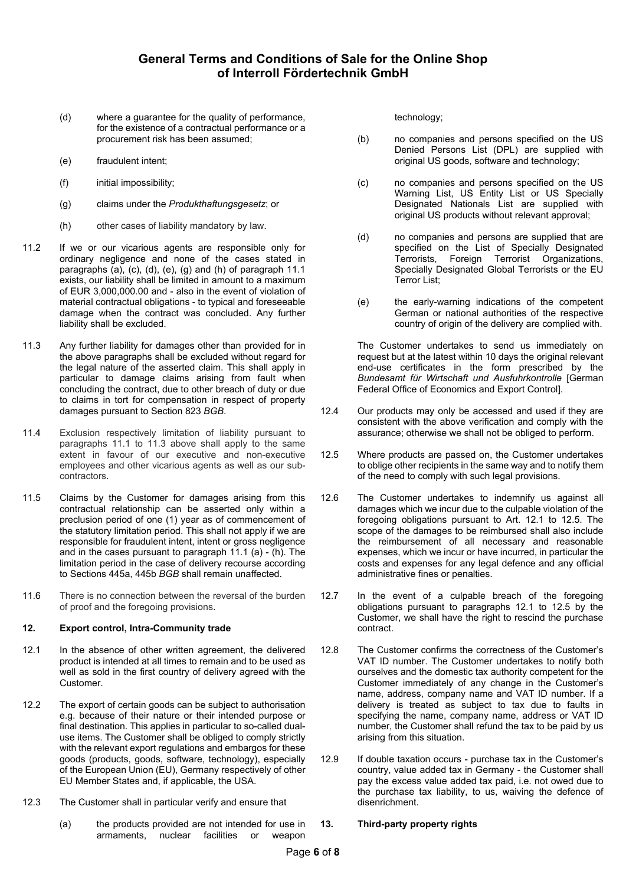- (d) where a guarantee for the quality of performance, for the existence of a contractual performance or a procurement risk has been assumed;
- (e) fraudulent intent;
- (f) initial impossibility;
- (g) claims under the *Produkthaftungsgesetz*; or
- (h) other cases of liability mandatory by law.
- 11.2 If we or our vicarious agents are responsible only for ordinary negligence and none of the cases stated in paragraphs (a), (c), (d), (e), (g) and (h) of paragraph 11.1 exists, our liability shall be limited in amount to a maximum of EUR 3,000,000.00 and - also in the event of violation of material contractual obligations - to typical and foreseeable damage when the contract was concluded. Any further liability shall be excluded.
- 11.3 Any further liability for damages other than provided for in the above paragraphs shall be excluded without regard for the legal nature of the asserted claim. This shall apply in particular to damage claims arising from fault when concluding the contract, due to other breach of duty or due to claims in tort for compensation in respect of property damages pursuant to Section 823 *BGB*.
- 11.4 Exclusion respectively limitation of liability pursuant to paragraphs 11.1 to 11.3 above shall apply to the same extent in favour of our executive and non-executive employees and other vicarious agents as well as our subcontractors.
- 11.5 Claims by the Customer for damages arising from this contractual relationship can be asserted only within a preclusion period of one (1) year as of commencement of the statutory limitation period. This shall not apply if we are responsible for fraudulent intent, intent or gross negligence and in the cases pursuant to paragraph 11.1 (a) - (h). The limitation period in the case of delivery recourse according to Sections 445a, 445b *BGB* shall remain unaffected.
- 11.6 There is no connection between the reversal of the burden of proof and the foregoing provisions.

## **12. Export control, Intra-Community trade**

- 12.1 In the absence of other written agreement, the delivered product is intended at all times to remain and to be used as well as sold in the first country of delivery agreed with the Customer.
- 12.2 The export of certain goods can be subject to authorisation e.g. because of their nature or their intended purpose or final destination. This applies in particular to so-called dualuse items. The Customer shall be obliged to comply strictly with the relevant export regulations and embargos for these goods (products, goods, software, technology), especially of the European Union (EU), Germany respectively of other EU Member States and, if applicable, the USA.
- 12.3 The Customer shall in particular verify and ensure that
	- (a) the products provided are not intended for use in armaments, nuclear facilities or weapon

technology;

- (b) no companies and persons specified on the US Denied Persons List (DPL) are supplied with original US goods, software and technology;
- (c) no companies and persons specified on the US Warning List, US Entity List or US Specially Designated Nationals List are supplied with original US products without relevant approval;
- (d) no companies and persons are supplied that are specified on the List of Specially Designated Terrorists, Foreign Terrorist Organizations, Specially Designated Global Terrorists or the EU Terror List;
- (e) the early-warning indications of the competent German or national authorities of the respective country of origin of the delivery are complied with.

The Customer undertakes to send us immediately on request but at the latest within 10 days the original relevant end-use certificates in the form prescribed by the *Bundesamt für Wirtschaft und Ausfuhrkontrolle* [German Federal Office of Economics and Export Control].

- 12.4 Our products may only be accessed and used if they are consistent with the above verification and comply with the assurance; otherwise we shall not be obliged to perform.
- 12.5 Where products are passed on, the Customer undertakes to oblige other recipients in the same way and to notify them of the need to comply with such legal provisions.
- 12.6 The Customer undertakes to indemnify us against all damages which we incur due to the culpable violation of the foregoing obligations pursuant to Art. 12.1 to 12.5. The scope of the damages to be reimbursed shall also include the reimbursement of all necessary and reasonable expenses, which we incur or have incurred, in particular the costs and expenses for any legal defence and any official administrative fines or penalties.
- 12.7 In the event of a culpable breach of the foregoing obligations pursuant to paragraphs 12.1 to 12.5 by the Customer, we shall have the right to rescind the purchase contract.
- 12.8 The Customer confirms the correctness of the Customer's VAT ID number. The Customer undertakes to notify both ourselves and the domestic tax authority competent for the Customer immediately of any change in the Customer's name, address, company name and VAT ID number. If a delivery is treated as subject to tax due to faults in specifying the name, company name, address or VAT ID number, the Customer shall refund the tax to be paid by us arising from this situation.
- 12.9 If double taxation occurs purchase tax in the Customer's country, value added tax in Germany - the Customer shall pay the excess value added tax paid, i.e. not owed due to the purchase tax liability, to us, waiving the defence of disenrichment.

#### **13. Third-party property rights**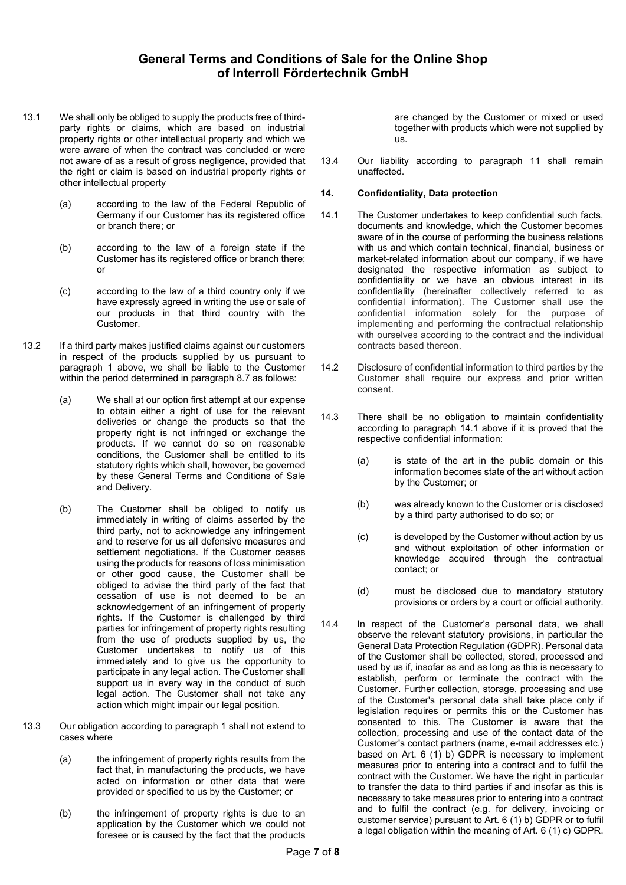- 13.1 We shall only be obliged to supply the products free of thirdparty rights or claims, which are based on industrial property rights or other intellectual property and which we were aware of when the contract was concluded or were not aware of as a result of gross negligence, provided that the right or claim is based on industrial property rights or other intellectual property
	- (a) according to the law of the Federal Republic of Germany if our Customer has its registered office or branch there; or
	- (b) according to the law of a foreign state if the Customer has its registered office or branch there; or
	- (c) according to the law of a third country only if we have expressly agreed in writing the use or sale of our products in that third country with the Customer.
- 13.2 If a third party makes justified claims against our customers in respect of the products supplied by us pursuant to paragraph 1 above, we shall be liable to the Customer within the period determined in paragraph 8.7 as follows:
	- (a) We shall at our option first attempt at our expense to obtain either a right of use for the relevant deliveries or change the products so that the property right is not infringed or exchange the products. If we cannot do so on reasonable conditions, the Customer shall be entitled to its statutory rights which shall, however, be governed by these General Terms and Conditions of Sale and Delivery.
	- (b) The Customer shall be obliged to notify us immediately in writing of claims asserted by the third party, not to acknowledge any infringement and to reserve for us all defensive measures and settlement negotiations. If the Customer ceases using the products for reasons of loss minimisation or other good cause, the Customer shall be obliged to advise the third party of the fact that cessation of use is not deemed to be an acknowledgement of an infringement of property rights. If the Customer is challenged by third parties for infringement of property rights resulting from the use of products supplied by us, the Customer undertakes to notify us of this immediately and to give us the opportunity to participate in any legal action. The Customer shall support us in every way in the conduct of such legal action. The Customer shall not take any action which might impair our legal position.
- 13.3 Our obligation according to paragraph 1 shall not extend to cases where
	- (a) the infringement of property rights results from the fact that, in manufacturing the products, we have acted on information or other data that were provided or specified to us by the Customer; or
	- (b) the infringement of property rights is due to an application by the Customer which we could not foresee or is caused by the fact that the products

are changed by the Customer or mixed or used together with products which were not supplied by us.

13.4 Our liability according to paragraph 11 shall remain unaffected.

# **14. Confidentiality, Data protection**

- 14.1 The Customer undertakes to keep confidential such facts, documents and knowledge, which the Customer becomes aware of in the course of performing the business relations with us and which contain technical, financial, business or market-related information about our company, if we have designated the respective information as subject to confidentiality or we have an obvious interest in its confidentiality (hereinafter collectively referred to as confidential information). The Customer shall use the confidential information solely for the purpose of implementing and performing the contractual relationship with ourselves according to the contract and the individual contracts based thereon.
- 14.2 Disclosure of confidential information to third parties by the Customer shall require our express and prior written consent.
- 14.3 There shall be no obligation to maintain confidentiality according to paragraph 14.1 above if it is proved that the respective confidential information:
	- (a) is state of the art in the public domain or this information becomes state of the art without action by the Customer; or
	- (b) was already known to the Customer or is disclosed by a third party authorised to do so; or
	- (c) is developed by the Customer without action by us and without exploitation of other information or knowledge acquired through the contractual contact; or
	- (d) must be disclosed due to mandatory statutory provisions or orders by a court or official authority.
- 14.4 In respect of the Customer's personal data, we shall observe the relevant statutory provisions, in particular the General Data Protection Regulation (GDPR). Personal data of the Customer shall be collected, stored, processed and used by us if, insofar as and as long as this is necessary to establish, perform or terminate the contract with the Customer. Further collection, storage, processing and use of the Customer's personal data shall take place only if legislation requires or permits this or the Customer has consented to this. The Customer is aware that the collection, processing and use of the contact data of the Customer's contact partners (name, e-mail addresses etc.) based on Art. 6 (1) b) GDPR is necessary to implement measures prior to entering into a contract and to fulfil the contract with the Customer. We have the right in particular to transfer the data to third parties if and insofar as this is necessary to take measures prior to entering into a contract and to fulfil the contract (e.g. for delivery, invoicing or customer service) pursuant to Art. 6 (1) b) GDPR or to fulfil a legal obligation within the meaning of Art. 6 (1) c) GDPR.